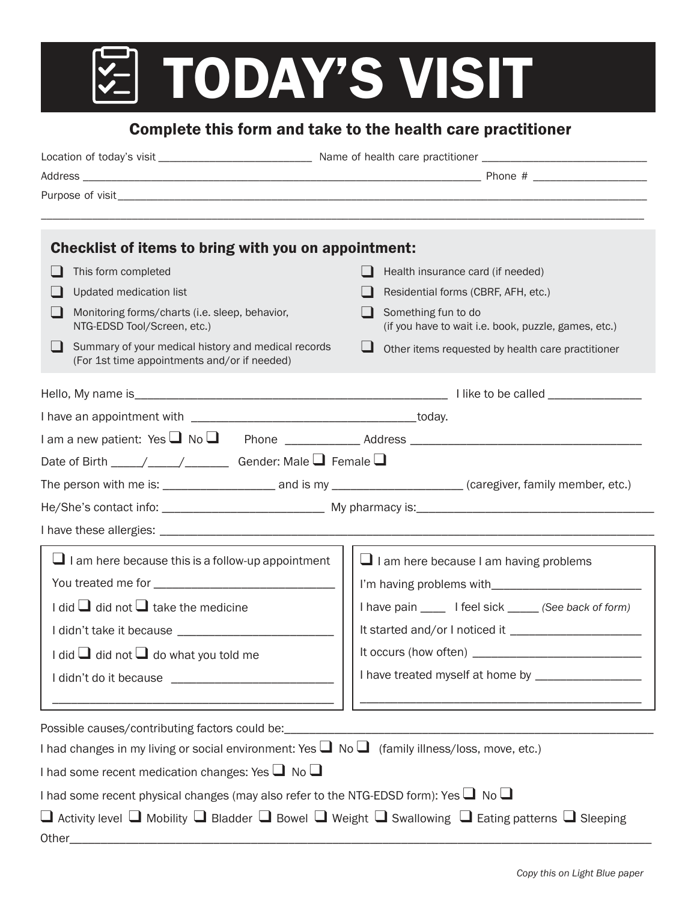## **Z TODAY'S VISIT**

## Complete this form and take to the health care practitioner

| Checklist of items to bring with you on appointment:                                                                                                             |                                                                                                                      |
|------------------------------------------------------------------------------------------------------------------------------------------------------------------|----------------------------------------------------------------------------------------------------------------------|
| This form completed                                                                                                                                              | Health insurance card (if needed)                                                                                    |
| Updated medication list                                                                                                                                          | Residential forms (CBRF, AFH, etc.)                                                                                  |
| Monitoring forms/charts (i.e. sleep, behavior,<br>NTG-EDSD Tool/Screen, etc.)                                                                                    | Something fun to do<br>(if you have to wait i.e. book, puzzle, games, etc.)                                          |
| Summary of your medical history and medical records<br>$\blacksquare$<br>(For 1st time appointments and/or if needed)                                            | ப<br>Other items requested by health care practitioner                                                               |
|                                                                                                                                                                  |                                                                                                                      |
|                                                                                                                                                                  |                                                                                                                      |
|                                                                                                                                                                  |                                                                                                                      |
| Date of Birth $\_\_\_\_\_\_\_\_\_\_\_\_\_\_\_\_\_\_\_\_$ Gender: Male $\Box$ Female $\Box$                                                                       |                                                                                                                      |
| The person with me is: ________________________ and is my _______________________(caregiver, family member, etc.)                                                |                                                                                                                      |
|                                                                                                                                                                  |                                                                                                                      |
|                                                                                                                                                                  |                                                                                                                      |
| $\Box$ I am here because this is a follow-up appointment                                                                                                         | $\Box$ I am here because I am having problems                                                                        |
|                                                                                                                                                                  |                                                                                                                      |
| I did $\Box$ did not $\Box$ take the medicine                                                                                                                    | I have pain ______ I feel sick ______ (See back of form)                                                             |
|                                                                                                                                                                  |                                                                                                                      |
| I did $\Box$ did not $\Box$ do what you told me                                                                                                                  |                                                                                                                      |
|                                                                                                                                                                  | I have treated myself at home by _________________                                                                   |
|                                                                                                                                                                  |                                                                                                                      |
| Possible causes/contributing factors could be:                                                                                                                   | <u> 1980 - Jan James James, martin de la populación de la propia de la propia de la propia de la propia de la pr</u> |
| I had changes in my living or social environment: Yes $\Box$ No $\Box$ (family illness/loss, move, etc.)                                                         |                                                                                                                      |
| I had some recent medication changes: Yes $\Box$ No $\Box$                                                                                                       |                                                                                                                      |
| I had some recent physical changes (may also refer to the NTG-EDSD form): Yes $\Box$ No $\Box$                                                                   |                                                                                                                      |
| $\square$ Activity level $\square$ Mobility $\square$ Bladder $\square$ Bowel $\square$ Weight $\square$ Swallowing $\square$ Eating patterns $\square$ Sleeping |                                                                                                                      |
| Other_                                                                                                                                                           |                                                                                                                      |